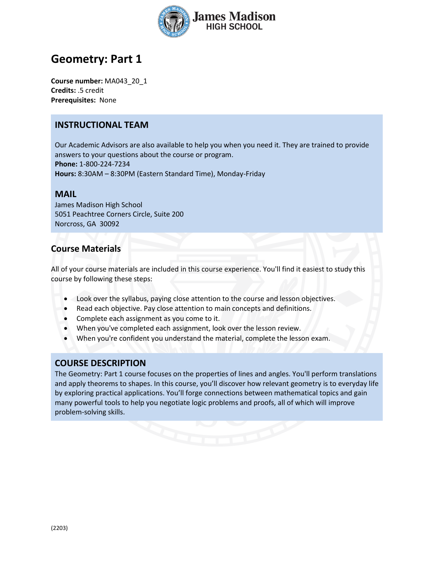

# **Geometry: Part 1**

**Course number:** MA043\_20\_1 **Credits:** .5 credit **Prerequisites:** None

## **INSTRUCTIONAL TEAM**

Our Academic Advisors are also available to help you when you need it. They are trained to provide answers to your questions about the course or program. **Phone:** 1-800-224-7234 **Hours:** 8:30AM – 8:30PM (Eastern Standard Time), Monday-Friday

#### **MAIL**

James Madison High School 5051 Peachtree Corners Circle, Suite 200 Norcross, GA 30092

## **Course Materials**

All of your course materials are included in this course experience. You'll find it easiest to study this course by following these steps:

- Look over the syllabus, paying close attention to the course and lesson objectives.
- Read each objective. Pay close attention to main concepts and definitions.
- Complete each assignment as you come to it.
- When you've completed each assignment, look over the lesson review.
- When you're confident you understand the material, complete the lesson exam.

#### **COURSE DESCRIPTION**

The Geometry: Part 1 course focuses on the properties of lines and angles. You'll perform translations and apply theorems to shapes. In this course, you'll discover how relevant geometry is to everyday life by exploring practical applications. You'll forge connections between mathematical topics and gain many powerful tools to help you negotiate logic problems and proofs, all of which will improve problem-solving skills.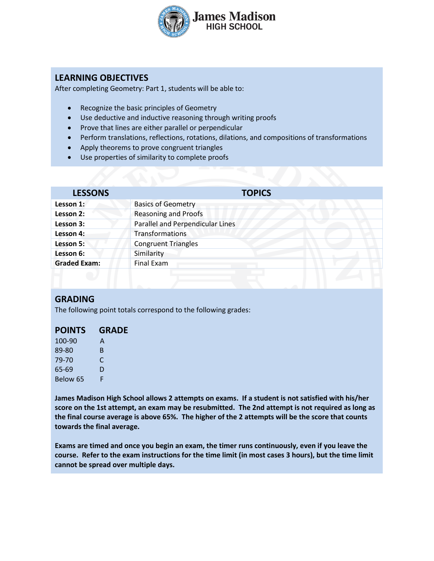

## **LEARNING OBJECTIVES**

After completing Geometry: Part 1, students will be able to:

- Recognize the basic principles of Geometry
- Use deductive and inductive reasoning through writing proofs
- Prove that lines are either parallel or perpendicular
- Perform translations, reflections, rotations, dilations, and compositions of transformations
- Apply theorems to prove congruent triangles
- Use properties of similarity to complete proofs

| <b>LESSONS</b>      | <b>TOPICS</b>                    |  |
|---------------------|----------------------------------|--|
| Lesson 1:           | <b>Basics of Geometry</b>        |  |
| Lesson 2:           | <b>Reasoning and Proofs</b>      |  |
| Lesson 3:           | Parallel and Perpendicular Lines |  |
| Lesson 4:           | <b>Transformations</b>           |  |
| Lesson 5:           | <b>Congruent Triangles</b>       |  |
| Lesson 6:           | Similarity                       |  |
| <b>Graded Exam:</b> | Final Exam                       |  |
|                     |                                  |  |

#### **GRADING**

The following point totals correspond to the following grades:

| <b>POINTS</b> | <b>GRADE</b> |
|---------------|--------------|
| 100-90        | A            |
| 89-80         | R            |
| 79-70         | C            |
| 65-69         | D            |
| Below 65      | F            |

**James Madison High School allows 2 attempts on exams. If a student is not satisfied with his/her score on the 1st attempt, an exam may be resubmitted. The 2nd attempt is not required as long as the final course average is above 65%. The higher of the 2 attempts will be the score that counts towards the final average.** 

**Exams are timed and once you begin an exam, the timer runs continuously, even if you leave the course. Refer to the exam instructions for the time limit (in most cases 3 hours), but the time limit cannot be spread over multiple days.**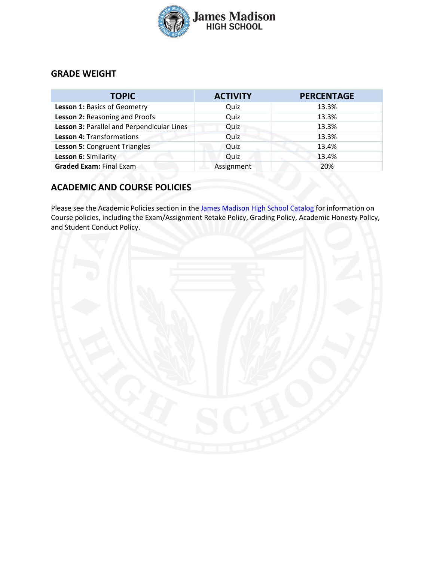

## **GRADE WEIGHT**

| <b>TOPIC</b>                               | <b>ACTIVITY</b> | <b>PERCENTAGE</b> |
|--------------------------------------------|-----------------|-------------------|
| Lesson 1: Basics of Geometry               | Quiz            | 13.3%             |
| Lesson 2: Reasoning and Proofs             | Quiz            | 13.3%             |
| Lesson 3: Parallel and Perpendicular Lines | Quiz            | 13.3%             |
| Lesson 4: Transformations                  | Quiz            | 13.3%             |
| Lesson 5: Congruent Triangles              | Quiz            | 13.4%             |
| Lesson 6: Similarity                       | Quiz            | 13.4%             |
| <b>Graded Exam: Final Exam</b>             | Assignment      | 20%               |

# **ACADEMIC AND COURSE POLICIES**

Please see the Academic Policies section in the [James Madison High School Catalog](https://www.jmhs.com/pdfs/jmhs-high-school-catalog.pdf) for information on Course policies, including the Exam/Assignment Retake Policy, Grading Policy, Academic Honesty Policy, and Student Conduct Policy.

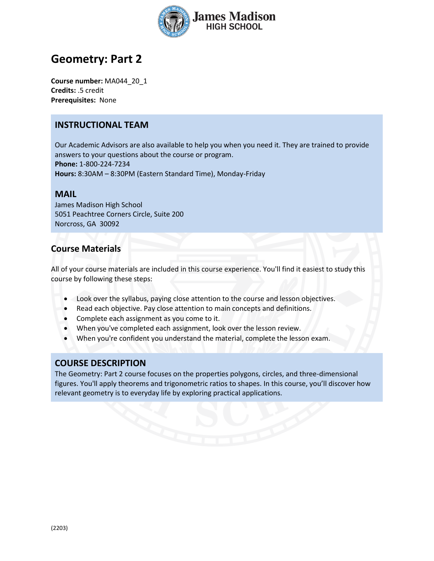

# **Geometry: Part 2**

**Course number:** MA044\_20\_1 **Credits:** .5 credit **Prerequisites:** None

### **INSTRUCTIONAL TEAM**

Our Academic Advisors are also available to help you when you need it. They are trained to provide answers to your questions about the course or program. **Phone:** 1-800-224-7234 **Hours:** 8:30AM – 8:30PM (Eastern Standard Time), Monday-Friday

#### **MAIL**

James Madison High School 5051 Peachtree Corners Circle, Suite 200 Norcross, GA 30092

### **Course Materials**

All of your course materials are included in this course experience. You'll find it easiest to study this course by following these steps:

- Look over the syllabus, paying close attention to the course and lesson objectives.
- Read each objective. Pay close attention to main concepts and definitions.
- Complete each assignment as you come to it.
- When you've completed each assignment, look over the lesson review.
- When you're confident you understand the material, complete the lesson exam.

#### **COURSE DESCRIPTION**

The Geometry: Part 2 course focuses on the properties polygons, circles, and three-dimensional figures. You'll apply theorems and trigonometric ratios to shapes. In this course, you'll discover how relevant geometry is to everyday life by exploring practical applications.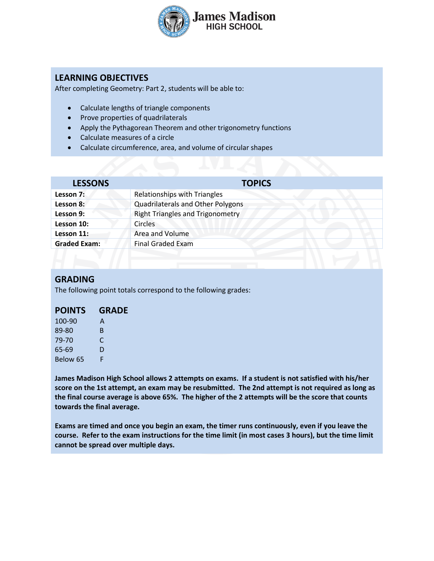

## **LEARNING OBJECTIVES**

After completing Geometry: Part 2, students will be able to:

- Calculate lengths of triangle components
- Prove properties of quadrilaterals
- Apply the Pythagorean Theorem and other trigonometry functions
- Calculate measures of a circle
- Calculate circumference, area, and volume of circular shapes

| <b>LESSONS</b>      | <b>TOPICS</b>                           |  |
|---------------------|-----------------------------------------|--|
| Lesson 7:           | Relationships with Triangles            |  |
| Lesson 8:           | Quadrilaterals and Other Polygons       |  |
| Lesson 9:           | <b>Right Triangles and Trigonometry</b> |  |
| Lesson 10:          | <b>Circles</b>                          |  |
| Lesson 11:          | Area and Volume                         |  |
| <b>Graded Exam:</b> | <b>Final Graded Exam</b>                |  |
|                     |                                         |  |

#### **GRADING**

The following point totals correspond to the following grades:

# **POINTS GRADE**

| 100-90   | A |
|----------|---|
| 89-80    | в |
| 79-70    | C |
| 65-69    | D |
| Below 65 | F |

**James Madison High School allows 2 attempts on exams. If a student is not satisfied with his/her score on the 1st attempt, an exam may be resubmitted. The 2nd attempt is not required as long as the final course average is above 65%. The higher of the 2 attempts will be the score that counts towards the final average.** 

**Exams are timed and once you begin an exam, the timer runs continuously, even if you leave the course. Refer to the exam instructions for the time limit (in most cases 3 hours), but the time limit cannot be spread over multiple days.**